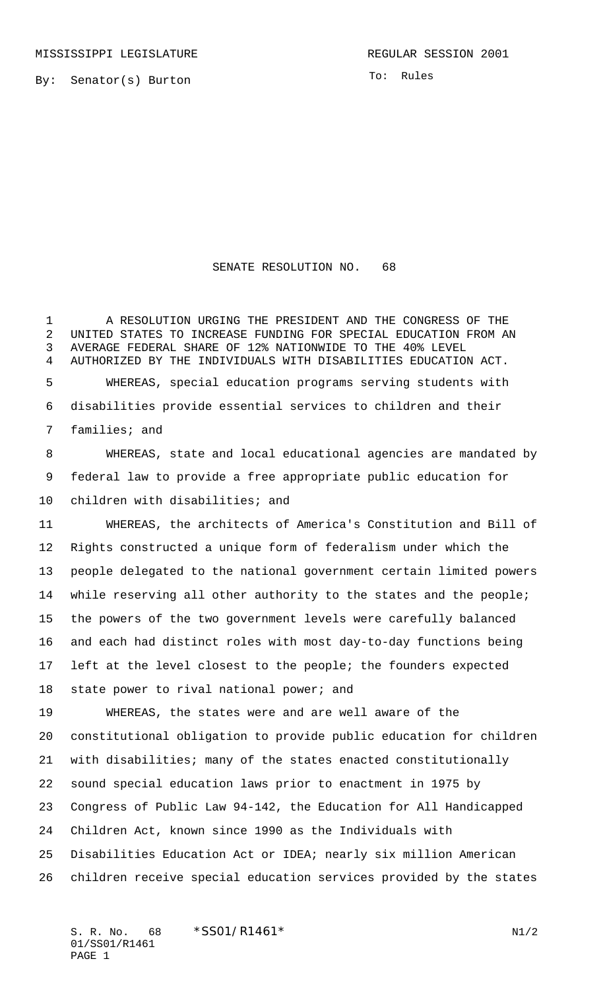By: Senator(s) Burton

To: Rules

## SENATE RESOLUTION NO. 68

 A RESOLUTION URGING THE PRESIDENT AND THE CONGRESS OF THE UNITED STATES TO INCREASE FUNDING FOR SPECIAL EDUCATION FROM AN AVERAGE FEDERAL SHARE OF 12% NATIONWIDE TO THE 40% LEVEL AUTHORIZED BY THE INDIVIDUALS WITH DISABILITIES EDUCATION ACT. WHEREAS, special education programs serving students with disabilities provide essential services to children and their families; and

 WHEREAS, state and local educational agencies are mandated by federal law to provide a free appropriate public education for children with disabilities; and

 WHEREAS, the architects of America's Constitution and Bill of Rights constructed a unique form of federalism under which the people delegated to the national government certain limited powers while reserving all other authority to the states and the people; the powers of the two government levels were carefully balanced and each had distinct roles with most day-to-day functions being left at the level closest to the people; the founders expected 18 state power to rival national power; and

 WHEREAS, the states were and are well aware of the constitutional obligation to provide public education for children with disabilities; many of the states enacted constitutionally sound special education laws prior to enactment in 1975 by Congress of Public Law 94-142, the Education for All Handicapped Children Act, known since 1990 as the Individuals with Disabilities Education Act or IDEA; nearly six million American children receive special education services provided by the states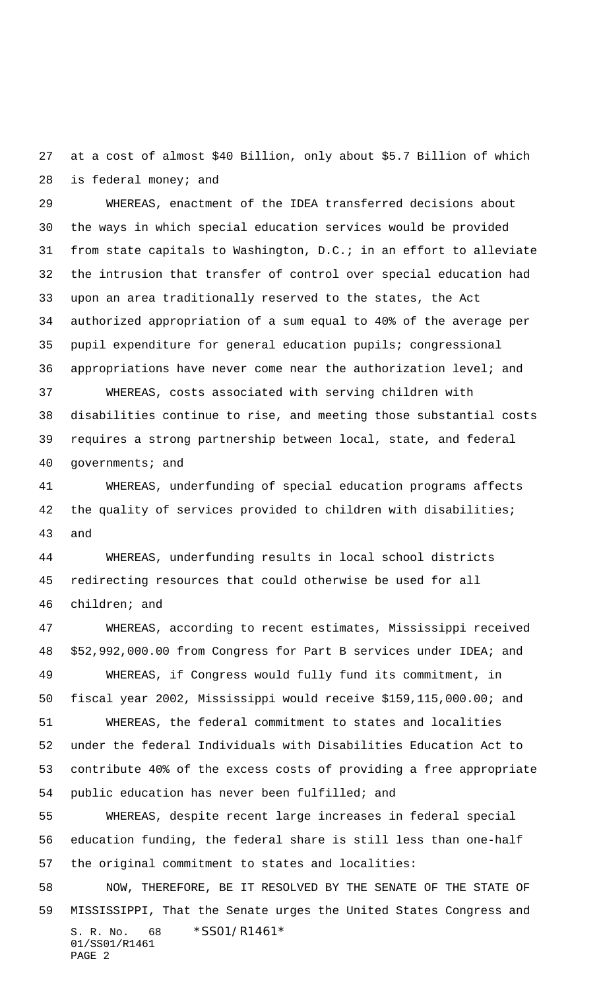at a cost of almost \$40 Billion, only about \$5.7 Billion of which is federal money; and

 WHEREAS, enactment of the IDEA transferred decisions about the ways in which special education services would be provided from state capitals to Washington, D.C.; in an effort to alleviate the intrusion that transfer of control over special education had upon an area traditionally reserved to the states, the Act authorized appropriation of a sum equal to 40% of the average per pupil expenditure for general education pupils; congressional appropriations have never come near the authorization level; and

 WHEREAS, costs associated with serving children with disabilities continue to rise, and meeting those substantial costs requires a strong partnership between local, state, and federal governments; and

 WHEREAS, underfunding of special education programs affects the quality of services provided to children with disabilities; and

 WHEREAS, underfunding results in local school districts redirecting resources that could otherwise be used for all children; and

 WHEREAS, according to recent estimates, Mississippi received \$52,992,000.00 from Congress for Part B services under IDEA; and WHEREAS, if Congress would fully fund its commitment, in fiscal year 2002, Mississippi would receive \$159,115,000.00; and WHEREAS, the federal commitment to states and localities under the federal Individuals with Disabilities Education Act to contribute 40% of the excess costs of providing a free appropriate public education has never been fulfilled; and WHEREAS, despite recent large increases in federal special

 education funding, the federal share is still less than one-half the original commitment to states and localities:

S. R. No. 68 \* SS01/R1461\* 01/SS01/R1461 PAGE 2 NOW, THEREFORE, BE IT RESOLVED BY THE SENATE OF THE STATE OF MISSISSIPPI, That the Senate urges the United States Congress and